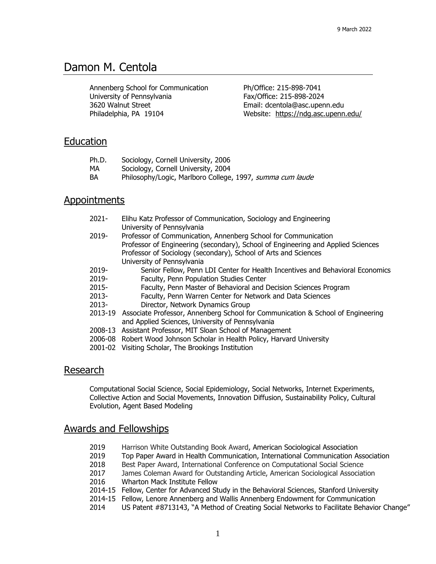# Damon M. Centola

Annenberg School for Communication University of Pennsylvania 3620 Walnut Street Philadelphia, PA 19104

Ph/Office: 215-898-7041 Fax/Office: 215-898-2024 Email: dcentola@asc.upenn.edu Website: https:/[/ndg.asc.upenn.edu/](http://ndg.asc.upenn.edu/)

### Education

| Ph.D. | Sociology, Cornell University, 2006                       |
|-------|-----------------------------------------------------------|
| MA    | Sociology, Cornell University, 2004                       |
| BA    | Philosophy/Logic, Marlboro College, 1997, summa cum laude |

### **Appointments**

| $2021 -$ | Elihu Katz Professor of Communication, Sociology and Engineering<br>University of Pennsylvania                                                                                                                                                      |  |  |
|----------|-----------------------------------------------------------------------------------------------------------------------------------------------------------------------------------------------------------------------------------------------------|--|--|
| $2019 -$ | Professor of Communication, Annenberg School for Communication<br>Professor of Engineering (secondary), School of Engineering and Applied Sciences<br>Professor of Sociology (secondary), School of Arts and Sciences<br>University of Pennsylvania |  |  |
| 2019-    | Senior Fellow, Penn LDI Center for Health Incentives and Behavioral Economics                                                                                                                                                                       |  |  |
| 2019-    | Faculty, Penn Population Studies Center                                                                                                                                                                                                             |  |  |
| $2015 -$ | Faculty, Penn Master of Behavioral and Decision Sciences Program                                                                                                                                                                                    |  |  |
| $2013 -$ | Faculty, Penn Warren Center for Network and Data Sciences                                                                                                                                                                                           |  |  |
| $2013 -$ | Director, Network Dynamics Group                                                                                                                                                                                                                    |  |  |
|          | 2013-19 Associate Professor, Annenberg School for Communication & School of Engineering<br>and Applied Sciences, University of Pennsylvania                                                                                                         |  |  |
|          | 2008-13 Assistant Professor, MIT Sloan School of Management                                                                                                                                                                                         |  |  |
|          | 2006-08 Robert Wood Johnson Scholar in Health Policy, Harvard University                                                                                                                                                                            |  |  |
| 2001-02  | Visiting Scholar, The Brookings Institution                                                                                                                                                                                                         |  |  |

### Research

Computational Social Science, Social Epidemiology, Social Networks, Internet Experiments, Collective Action and Social Movements, Innovation Diffusion, Sustainability Policy, Cultural Evolution, Agent Based Modeling

### Awards and Fellowships

- 2019 Harrison White Outstanding Book Award, American Sociological Association
- 2019 Top Paper Award in Health Communication, International Communication Association
- 2018 Best Paper Award, International Conference on Computational Social Science
- 2017 James Coleman Award for Outstanding Article, American Sociological Association
- 2016 Wharton Mack Institute Fellow
- 2014-15 Fellow, Center for Advanced Study in the Behavioral Sciences, Stanford University
- 2014-15 Fellow, Lenore Annenberg and Wallis Annenberg Endowment for Communication
- 2014 US Patent #8713143, "A Method of Creating Social Networks to Facilitate Behavior Change"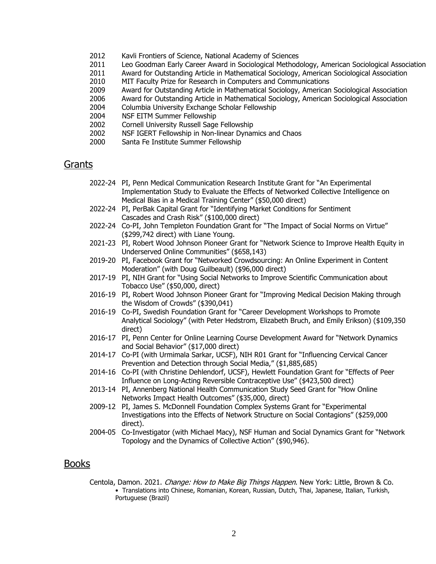- 2012 Kavli Frontiers of Science, National Academy of Sciences
- 2011 Leo Goodman Early Career Award in Sociological Methodology, American Sociological Association
- 2011 Award for Outstanding Article in Mathematical Sociology, American Sociological Association
- 2010 MIT Faculty Prize for Research in Computers and Communications
- 2009 Award for Outstanding Article in Mathematical Sociology, American Sociological Association
- 2006 Award for Outstanding Article in Mathematical Sociology, American Sociological Association
- 2004 Columbia University Exchange Scholar Fellowship
- 2004 NSF EITM Summer Fellowship
- 2002 Cornell University Russell Sage Fellowship
- 2002 NSF IGERT Fellowship in Non-linear Dynamics and Chaos
- 2000 Santa Fe Institute Summer Fellowship

### Grants

- 2022-24 PI, Penn Medical Communication Research Institute Grant for "An Experimental Implementation Study to Evaluate the Effects of Networked Collective Intelligence on Medical Bias in a Medical Training Center" (\$50,000 direct)
- 2022-24 PI, PerBak Capital Grant for "Identifying Market Conditions for Sentiment Cascades and Crash Risk" (\$100,000 direct)
- 2022-24 Co-PI, John Templeton Foundation Grant for "The Impact of Social Norms on Virtue" (\$299,742 direct) with Liane Young.
- 2021-23 PI, Robert Wood Johnson Pioneer Grant for "Network Science to Improve Health Equity in Underserved Online Communities" (\$658,143)
- 2019-20 PI, Facebook Grant for "Networked Crowdsourcing: An Online Experiment in Content Moderation" (with Doug Guilbeault) (\$96,000 direct)
- 2017-19 PI, NIH Grant for "Using Social Networks to Improve Scientific Communication about Tobacco Use" (\$50,000, direct)
- 2016-19 PI, Robert Wood Johnson Pioneer Grant for "Improving Medical Decision Making through the Wisdom of Crowds" (\$390,041)
- 2016-19 Co-PI, Swedish Foundation Grant for "Career Development Workshops to Promote Analytical Sociology" (with Peter Hedstrom, Elizabeth Bruch, and Emily Erikson) (\$109,350 direct)
- 2016-17 PI, Penn Center for Online Learning Course Development Award for "Network Dynamics and Social Behavior" (\$17,000 direct)
- 2014-17 Co-PI (with Urmimala Sarkar, UCSF), NIH R01 Grant for "Influencing Cervical Cancer Prevention and Detection through Social Media," (\$1,885,685)
- 2014-16 Co-PI (with Christine Dehlendorf, UCSF), Hewlett Foundation Grant for "Effects of Peer Influence on Long-Acting Reversible Contraceptive Use" (\$423,500 direct)
- 2013-14 PI, Annenberg National Health Communication Study Seed Grant for "How Online Networks Impact Health Outcomes" (\$35,000, direct)
- 2009-12 PI, James S. McDonnell Foundation Complex Systems Grant for "Experimental Investigations into the Effects of Network Structure on Social Contagions" (\$259,000 direct).
- 2004-05 Co-Investigator (with Michael Macy), NSF Human and Social Dynamics Grant for "Network Topology and the Dynamics of Collective Action" (\$90,946).

### Books

Centola, Damon. 2021. *Change: How to Make Big Things Happen*. New York: Little, Brown & Co. • Translations into Chinese, Romanian, Korean, Russian, Dutch, Thai, Japanese, Italian, Turkish, Portuguese (Brazil)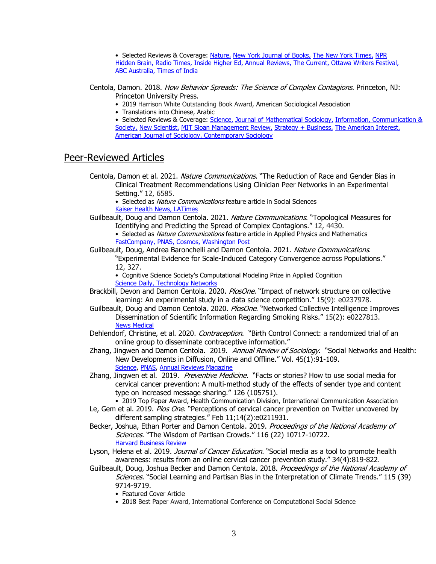• Selected Reviews & Coverage: [Nature,](https://www.nature.com/articles/d41586-021-00262-1) New [York Journal of Books,](https://www.nature.com/articles/d41586-021-00262-1) The New [York Times,](https://www.nytimes.com/2021/07/28/well/live/motivation-energy-advice.html) NPR [Hidden Brain,](https://www.kqed.org/radio/program/hidden-brain) [Radio](https://whyy.org/episodes/masking-and-vaxxing-for-the-public-good/) Times, [Inside Higher Ed,](https://www.insidehighered.com/blogs/learning-innovation/3-questions-josh-kim-first-time-coursera-conference-attendee) [Annual Reviews,](https://www.annualreviews.org/shot-of-science/story/safe-behavior-is-contagious) [The Current,](https://www.hachettebookgroup.com/imprint/the-current/) [Ottawa Writers Festival,](https://writersfestival.org/authors/spring-2021/damon-centola) [ABC Australia,](https://www.abc.net.au/radionational/programs/themoney/jobkeeper-utes-and-holiday-homes/13168958) [Times of India](https://timesofindia.indiatimes.com/home/education/news/books-to-guide-you-to-leadership-personal-growth/articleshow/80598653.cms)

Centola, Damon. 2018. How Behavior Spreads: The Science of Complex Contagions. Princeton, NJ: Princeton University Press.

- 2019 Harrison White Outstanding Book Award, American Sociological Association
- Translations into Chinese, Arabic

• Selected Reviews & Coverage: Science, [Journal of Mathematical Sociology,](https://www.tandfonline.com/doi/full/10.1080/0022250X.2019.1593522) Information, Communication & [Society,](https://www.tandfonline.com/doi/full/10.1080/1369118X.2019.1651371) [New](https://undark.org/article/spread-of-behavior-five-questions-for-damon-centola/) Scientist, MIT Sloan Management Review, [Strategy + Business,](https://www.strategy-business.com/blog/Making-Change-Contagious?gko=21f21) [The American Interest,](https://www.the-american-interest.com/2018/08/03/plucking-out-the-heart/) [American Journal of Sociology,](https://www.journals.uchicago.edu/doi/abs/10.1086/705807?mobileUi=0&journalCode=ajs) [Contemporary Sociology](https://journals.sagepub.com/doi/full/10.1177/0094306120902417c)

### Peer-Reviewed Articles

Centola, Damon et al. 2021. Nature Communications. "The Reduction of Race and Gender Bias in Clinical Treatment Recommendations Using Clinician Peer Networks in an Experimental Setting." 12, 6585.

• Selected as *Nature Communications* feature article in Social Sciences [Kaiser Health News,](https://khn.org/morning-breakout/viewpoints-tackling-the-rural-doctor-shortage-collective-intelligence-can-eliminate-medical-bias/) [LATimes](https://www.latimes.com/opinion/story/2021-11-29/medicine-bias-gender-race)

Guilbeault, Doug and Damon Centola. 2021. Nature Communications. "Topological Measures for Identifying and Predicting the Spread of Complex Contagions." 12, 4430. • Selected as *Nature Communications* feature article in Applied Physics and Mathematics [FastCompany,](https://www.fastcompany.com/90657798/want-to-go-viral-influencers-wont-be-much-help-if-youre-trying-to-spread-a-complex-idea) [PNAS,](http://blog.pnas.org/2021/07/well-connected-members-of-tight-knit-groups-spread-controversial-ideas-much-more-readily-than-influencers/) [Cosmos,](https://cosmosmagazine.com/people/behaviour/under-the-social-influence/) [Washington Post](https://www.washingtonpost.com/arts-entertainment/2021/08/08/jennifer-aniston-vaccines/)

#### Guilbeault, Doug, Andrea Baronchelli and Damon Centola. 2021. Nature Communications. "Experimental Evidence for Scale-Induced Category Convergence across Populations." 12, 327.

• Cognitive Science Society's Computational Modeling Prize in Applied Cognition [Science Daily,](https://www.sciencedaily.com/releases/2021/01/210112085403.htm) [Technology Networks](https://www.technologynetworks.com/neuroscience/news/groupthink-in-action-individual-differences-disappear-in-50-person-groups-344492)

- Brackbill, Devon and Damon Centola. 2020. PlosOne. "Impact of network structure on collective learning: An experimental study in a data science competition." 15(9): e0237978.
- Guilbeault, Doug and Damon Centola. 2020. PlosOne. "Networked Collective Intelligence Improves Dissemination of Scientific Information Regarding Smoking Risks." 15(2): e0227813. [News Medical](https://www.news-medical.net/news/20200206/Study-demonstrates-the-power-of-networked-collective-intelligence-for-public-health.aspx)
- Dehlendorf, Christine, et al. 2020. Contraception. "Birth Control Connect: a randomized trial of an online group to disseminate contraceptive information."
- Zhang, Jingwen and Damon Centola. 2019. Annual Review of Sociology. "Social Networks and Health: New Developments in Diffusion, Online and Offline." Vol. 45(1):91-109. [Science,](https://www.sciencemag.org/news/2020/06/just-50-americans-plan-get-covid-19-vaccine-here-s-how-win-over-rest) [PNAS,](https://www.pnas.org/content/early/2020/07/21/2013249117) [Annual Reviews Magazine](https://www.annualreviews.org/shot-of-science/story/safe-behavior-is-contagious)
- Zhang, Jingwen et al. 2019. Preventive Medicine. "Facts or stories? How to use social media for cervical cancer prevention: A multi-method study of the effects of sender type and content type on increased message sharing." 126 (105751).

• 2019 Top Paper Award, Health Communication Division, International Communication Association

- Le, Gem et al. 2019. *Plos One*. "Perceptions of cervical cancer prevention on Twitter uncovered by different sampling strategies." Feb 11;14(2):e0211931.
- Becker, Joshua, Ethan Porter and Damon Centola. 2019. Proceedings of the National Academy of Sciences. "The Wisdom of Partisan Crowds." 116 (22) 10717-10722. [Harvard Business Review](https://hbr.org/2019/07/research-for-crowdsourcing-to-work-everyone-needs-an-equal-voice)

Lyson, Helena et al. 2019. *Journal of Cancer Education.* "Social media as a tool to promote health awareness: results from an online cervical cancer prevention study." 34(4):819-822.

- Guilbeault, Doug, Joshua Becker and Damon Centola. 2018. Proceedings of the National Academy of Sciences. "Social Learning and Partisan Bias in the Interpretation of Climate Trends." 115 (39) 9714-9719.
	- Featured Cover Article
	- 2018 Best Paper Award, International Conference on Computational Social Science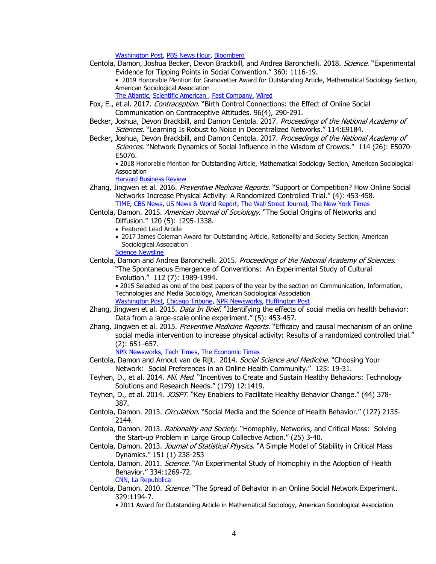[Washington Post,](https://www.washingtonpost.com/science/2018/09/07/bursting-peoples-political-bubbles-could-make-them-even-more-partisan/?noredirect=on&utm_term=.1a4ace95cd92) PBS News Hour, [Bloomberg](https://www.bloomberg.com/view/articles/2018-09-12/political-labels-interfere-with-the-wisdom-of-crowds)

Centola, Damon, Joshua Becker, Devon Brackbill, and Andrea Baronchelli. 2018. Science. "Experimental Evidence for Tipping Points in Social Convention." 360: 1116-19. • 2019 Honorable Mention for Granovetter Award for Outstanding Article, Mathematical Sociology Section, American Sociological Association

The Atlantic, [Scientific American ,](http://https/www.theatlantic.com/science/archive/2018/06/the-tipping-point-when-minority-views-take-over/562307/) [Fast Company,](https://www.fastcodesign.com/90176846/the-magic-number-of-people-needed-to-create-social-change) [Wired](https://www.wired.co.uk/article/extinction-rebellion-climate-protests-london)

- Fox, E., et al. 2017. Contraception. "Birth Control Connections: the Effect of Online Social Communication on Contraceptive Attitudes. 96(4), 290-291.
- Becker, Joshua, Devon Brackbill, and Damon Centola. 2017. Proceedings of the National Academy of Sciences. "Learning Is Robust to Noise in Decentralized Networks." 114:E9184.
- Becker, Joshua, Devon Brackbill, and Damon Centola. 2017. Proceedings of the National Academy of Sciences. "Network Dynamics of Social Influence in the Wisdom of Crowds." 114 (26): E5070-E5076.

• 2018 Honorable Mention for Outstanding Article, Mathematical Sociology Section, American Sociological Association

[Harvard Business Review](https://hbr.org/2019/07/research-for-crowdsourcing-to-work-everyone-needs-an-equal-voice)

- Zhang, Jingwen et al. 2016. Preventive Medicine Reports. "Support or Competition? How Online Social Networks Increase Physical Activity: A Randomized Controlled Trial." (4): 453-458. [TIME,](http://time.com/4553305/workout-competition-exercise-motivation/) [CBS News,](http://www.cbsnews.com/news/need-motivation-to-exercise-try-online-competition/) [US News & World Report,](http://health.usnews.com/health-care/articles/2016-11-08/friendly-competition-on-social-media-may-get-you-to-the-gym) [The Wall Street Journal,](http://www.wsj.com/articles/an-orthopedic-surgeon-stays-disciplined-via-sweaty-selfies-1483790403?emailToken=JRrzc/1+aX6WhNw2b8w10hgvdLUIDPeESlLcaWvXIEfBs3qQuv6o1r5wi9qsqmK3QUd86txB8W82ACbOjWN2TYqKlrpxkFq/PiAB/sqbgFXXYh8=) The [New York Times](https://www.nytimes.com/2021/07/28/well/live/motivation-energy-advice.html)
- Centola, Damon. 2015. American Journal of Sociology. "The Social Origins of Networks and Diffusion." 120 (5): 1295-1338.
	- Featured Lead Article
	- 2017 James Coleman Award for Outstanding Article, Rationality and Society Section, American Sociological Association

**[Science Newsline](http://www.sciencenewsline.com/news/2015062314370043.html)** 

Centola, Damon and Andrea Baronchelli. 2015. Proceedings of the National Academy of Sciences. "The Spontaneous Emergence of Conventions: An Experimental Study of Cultural Evolution." 112 (7): 1989-1994.

• 2015 Selected as one of the best papers of the year by the section on Communication, Information, Technologies and Media Sociology, American Sociological Association [Washington Post,](https://www.washingtonpost.com/news/speaking-of-science/wp/2015/02/07/behind-the-ebb-and-flow-of-baby-names/) [Chicago Tribune,](http://www.chicagotribune.com/lifestyles/chi-baby-names-20150207-htmlstory.html) [NPR Newsworks,](http://www.newsworks.org/index.php/local/healthscience/78123-the-origin-of-consensus-explaining-the-arab-spring-and-trendy-baby-names) [Huffington Post](http://www.huffingtonpost.com/2015/02/06/social-trends-online_n_6580354.html)

- Zhang, Jingwen et al. 2015. *Data In Brief*. "Identifying the effects of social media on health behavior: Data from a large-scale online experiment." (5): 453-457.
- Zhang, Jingwen et al. 2015. *Preventive Medicine Reports*. "Efficacy and causal mechanism of an online social media intervention to increase physical activity: Results of a randomized controlled trial." (2): 651–657.

[NPR Newsworks,](http://www.newsworks.org/index.php/local/healthscience/86985-hitting-the-gym-with-the-help-of-online-social-networks) [Tech Times,](http://www.techtimes.com/articles/93496/20151010/social-media-can-motivate-people-to-exercise-more-heres-how.htm) [The Economic Times](http://economictimes.indiatimes.com/magazines/panache/web-and-social-media-can-motivate-people-to-exercise-more/articleshow/49271666.cms)

- Centola, Damon and Arnout van de Rijt. 2014. Social Science and Medicine. "Choosing Your Network: Social Preferences in an Online Health Community." 125: 19-31.
- Teyhen, D., et al. 2014. *Mil. Med*. "Incentives to Create and Sustain Healthy Behaviors: Technology Solutions and Research Needs." (179) 12:1419.
- Teyhen, D., et al. 2014. *JOSPT*. "Key Enablers to Facilitate Healthy Behavior Change." (44) 378-387.
- Centola, Damon. 2013. *Circulation*. "Social Media and the Science of Health Behavior." (127) 2135-2144.
- Centola, Damon. 2013. Rationality and Society. "Homophily, Networks, and Critical Mass: Solving the Start-up Problem in Large Group Collective Action." (25) 3-40.
- Centola, Damon. 2013. Journal of Statistical Physics. "A Simple Model of Stability in Critical Mass Dynamics." 151 (1) 238-253
- Centola, Damon. 2011. *Science*. "An Experimental Study of Homophily in the Adoption of Health Behavior." 334:1269-72.

[CNN,](http://thechart.blogs.cnn.com/2011/12/02/similar-friends-may-spread-healthy-behaviors/) [La Repubblica](http://www.repubblica.it/salute/ricerca/2011/11/30/news/social_network_ed_effetti_virtuosi-25873431/)

- Centola, Damon. 2010. Science. "The Spread of Behavior in an Online Social Network Experiment. 329:1194-7.
	- 2011 Award for Outstanding Article in Mathematical Sociology, American Sociological Association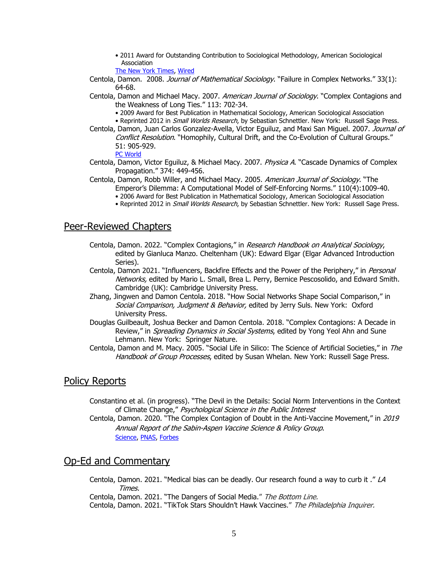• 2011 Award for Outstanding Contribution to Sociological Methodology, American Sociological Association

The New [York Times,](http://www.nytimes.com/2010/09/19/health/research/19stream.html?_r=0) [Wired](http://www.wired.com/2010/09/network-behavior-spread/)

- Centola, Damon. 2008. Journal of Mathematical Sociology. "Failure in Complex Networks." 33(1): 64-68.
- Centola, Damon and Michael Macy. 2007. American Journal of Sociology. "Complex Contagions and the Weakness of Long Ties." 113: 702-34.
	- 2009 Award for Best Publication in Mathematical Sociology, American Sociological Association
	- Reprinted 2012 in Small Worlds Research, by Sebastian Schnettler. New York: Russell Sage Press.
- Centola, Damon, Juan Carlos Gonzalez-Avella, Victor Eguiluz, and Maxi San Miguel. 2007. Journal of Conflict Resolution. "Homophily, Cultural Drift, and the Co-Evolution of Cultural Groups." 51: 905-929.

[PC World](http://www.pcworld.com/article/160966/online_cliques.html)

- Centola, Damon, Victor Equiluz, & Michael Macy. 2007. Physica A. "Cascade Dynamics of Complex Propagation." 374: 449-456.
- Centola, Damon, Robb Willer, and Michael Macy. 2005. American Journal of Sociology. "The Emperor's Dilemma: A Computational Model of Self-Enforcing Norms." 110(4):1009-40. • 2006 Award for Best Publication in Mathematical Sociology, American Sociological Association
	-
	- Reprinted 2012 in *Small Worlds Research*, by Sebastian Schnettler. New York: Russell Sage Press.

### Peer-Reviewed Chapters

- Centola, Damon. 2022. "Complex Contagions," in Research Handbook on Analytical Sociology, edited by Gianluca Manzo. Cheltenham (UK): Edward Elgar (Elgar Advanced Introduction Series).
- Centola, Damon 2021. "Influencers, Backfire Effects and the Power of the Periphery," in Personal Networks, edited by Mario L. Small, Brea L. Perry, Bernice Pescosolido, and Edward Smith. Cambridge (UK): Cambridge University Press.
- Zhang, Jingwen and Damon Centola. 2018. "How Social Networks Shape Social Comparison," in Social Comparison, Judgment & Behavior, edited by Jerry Suls. New York: Oxford University Press.
- Douglas Guilbeault, Joshua Becker and Damon Centola. 2018. "Complex Contagions: A Decade in Review," in *Spreading Dynamics in Social Systems*, edited by Yong Yeol Ahn and Sune Lehmann. New York: Springer Nature.
- Centola, Damon and M. Macy. 2005. "Social Life in Silico: The Science of Artificial Societies," in The Handbook of Group Processes, edited by Susan Whelan. New York: Russell Sage Press.

### Policy Reports

Constantino et al. (in progress). "The Devil in the Details: Social Norm Interventions in the Context of Climate Change," Psychological Science in the Public Interest

Centola, Damon. 2020. "The Complex Contagion of Doubt in the Anti-Vaccine Movement," in 2019 Annual Report of the Sabin-Aspen Vaccine Science & Policy Group. [Science,](https://www.sciencemag.org/news/2020/06/just-50-americans-plan-get-covid-19-vaccine-here-s-how-win-over-rest) [PNAS,](https://www.pnas.org/content/early/2020/07/21/2013249117) [Forbes](https://www.forbes.com/sites/mishagajewski/2020/07/11/were-trying-to-get-people-to-wear-masks-the-wrong-way/#7be1f41e232e)

## Op-Ed and Commentary

Centola, Damon. 2021. "Medical bias can be deadly. Our [research](https://ndg.asc.upenn.edu/wp-content/uploads/2021/11/Op-Ed_-Medical-bias-can-be-deadly.-Our-research-found-a-way-to-curb-it-Los-Angeles-Times.pdf) found a way to curb it ."  $LA$ Times.

Centola, Damon. 2021. "The Dangers of Social Media." The Bottom Line.

Centola, Damon. 2021. "TikTok Stars Shouldn't Hawk Vaccines." The Philadelphia Inquirer.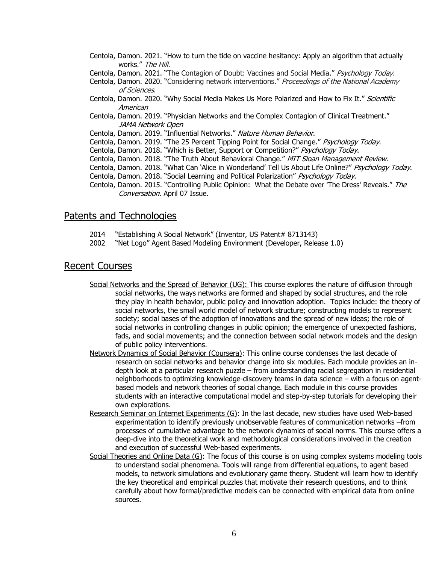- Centola, Damon. 2021. "How to turn the tide on vaccine hesitancy: Apply an algorithm that actually works." The Hill.
- Centola, Damon. 2021. "The Contagion of Doubt: Vaccines and Social Media." Psychology Today.
- Centola, Damon. 2020. "Considering network interventions." Proceedings of the National Academy of Sciences.
- Centola, Damon. 2020. "Why Social Media Makes Us More Polarized and How to Fix It." Scientific American
- Centola, Damon. 2019. "Physician Networks and the Complex Contagion of Clinical Treatment." JAMA Network Open
- Centola, Damon. 2019. "Influential Networks." Nature Human Behavior.
- Centola, Damon. 2019. "The 25 Percent Tipping Point for Social Change." Psychology Today.
- Centola, Damon. 2018. "Which is Better, Support or Competition?" Psychology Today.
- Centola, Damon. 2018. "The Truth About Behavioral Change." MIT Sloan Management Review.
- Centola, Damon. 2018. "What Can `Alice in Wonderland' Tell Us About Life Online?" Psychology Today.
- Centola, Damon. 2018. "Social Learning and Political Polarization" Psychology Today.
- Centola, Damon. 2015. "Controlling Public Opinion: What the Debate over 'The Dress' Reveals." The Conversation. April 07 Issue.

### Patents and Technologies

- 2014 "Establishing A Social Network" (Inventor, US Patent# 8713143)
- 2002 "Net Logo" Agent Based Modeling Environment (Developer, Release 1.0)

### Recent Courses

- Social Networks and the Spread of Behavior (UG): This course explores the nature of diffusion through social networks, the ways networks are formed and shaped by social structures, and the role they play in health behavior, public policy and innovation adoption. Topics include: the theory of social networks, the small world model of network structure; constructing models to represent society; social bases of the adoption of innovations and the spread of new ideas; the role of social networks in controlling changes in public opinion; the emergence of unexpected fashions, fads, and social movements; and the connection between social network models and the design of public policy interventions.
- Network Dynamics of Social Behavior (Coursera): This online course condenses the last decade of research on social networks and behavior change into six modules. Each module provides an indepth look at a particular research puzzle – from understanding racial segregation in residential neighborhoods to optimizing knowledge-discovery teams in data science – with a focus on agentbased models and network theories of social change. Each module in this course provides students with an interactive computational model and step-by-step tutorials for developing their own explorations.
- Research Seminar on Internet Experiments (G): In the last decade, new studies have used Web-based experimentation to identify previously unobservable features of communication networks –from processes of cumulative advantage to the network dynamics of social norms. This course offers a deep-dive into the theoretical work and methodological considerations involved in the creation and execution of successful Web-based experiments.
- Social Theories and Online Data (G): The focus of this course is on using complex systems modeling tools to understand social phenomena. Tools will range from differential equations, to agent based models, to network simulations and evolutionary game theory. Student will learn how to identify the key theoretical and empirical puzzles that motivate their research questions, and to think carefully about how formal/predictive models can be connected with empirical data from online sources.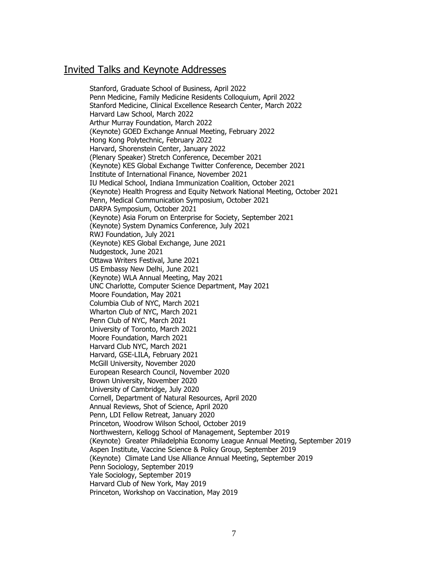### Invited Talks and Keynote Addresses

Stanford, Graduate School of Business, April 2022 Penn Medicine, Family Medicine Residents Colloquium, April 2022 Stanford Medicine, Clinical Excellence Research Center, March 2022 Harvard Law School, March 2022 Arthur Murray Foundation, March 2022 (Keynote) GOED Exchange Annual Meeting, February 2022 Hong Kong Polytechnic, February 2022 Harvard, Shorenstein Center, January 2022 (Plenary Speaker) Stretch Conference, December 2021 (Keynote) KES Global Exchange Twitter Conference, December 2021 Institute of International Finance, November 2021 IU Medical School, Indiana Immunization Coalition, October 2021 (Keynote) Health Progress and Equity Network National Meeting, October 2021 Penn, Medical Communication Symposium, October 2021 DARPA Symposium, October 2021 (Keynote) Asia Forum on Enterprise for Society, September 2021 (Keynote) System Dynamics Conference, July 2021 RWJ Foundation, July 2021 (Keynote) KES Global Exchange, June 2021 Nudgestock, June 2021 Ottawa Writers Festival, June 2021 US Embassy New Delhi, June 2021 (Keynote) WLA Annual Meeting, May 2021 UNC Charlotte, Computer Science Department, May 2021 Moore Foundation, May 2021 Columbia Club of NYC, March 2021 Wharton Club of NYC, March 2021 Penn Club of NYC, March 2021 University of Toronto, March 2021 Moore Foundation, March 2021 Harvard Club NYC, March 2021 Harvard, GSE-LILA, February 2021 McGill University, November 2020 European Research Council, November 2020 Brown University, November 2020 University of Cambridge, July 2020 Cornell, Department of Natural Resources, April 2020 Annual Reviews, Shot of Science, April 2020 Penn, LDI Fellow Retreat, January 2020 Princeton, Woodrow Wilson School, October 2019 Northwestern, Kellogg School of Management, September 2019 (Keynote) Greater Philadelphia Economy League Annual Meeting, September 2019 Aspen Institute, Vaccine Science & Policy Group, September 2019 (Keynote) Climate Land Use Alliance Annual Meeting, September 2019 Penn Sociology, September 2019 Yale Sociology, September 2019 Harvard Club of New York, May 2019 Princeton, Workshop on Vaccination, May 2019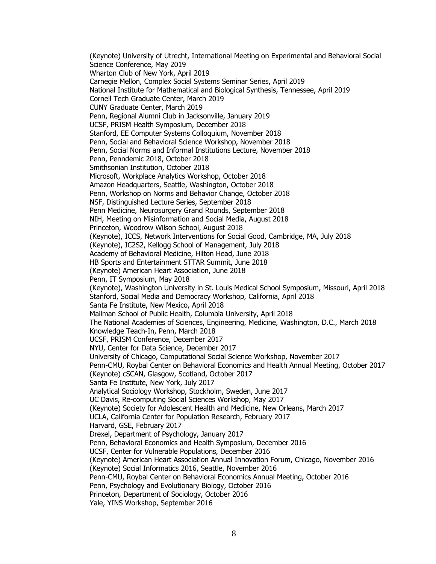(Keynote) University of Utrecht, International Meeting on Experimental and Behavioral Social Science Conference, May 2019 Wharton Club of New York, April 2019 Carnegie Mellon, Complex Social Systems Seminar Series, April 2019 National Institute for Mathematical and Biological Synthesis, Tennessee, April 2019 Cornell Tech Graduate Center, March 2019 CUNY Graduate Center, March 2019 Penn, Regional Alumni Club in Jacksonville, January 2019 UCSF, PRISM Health Symposium, December 2018 Stanford, EE Computer Systems Colloquium, November 2018 Penn, Social and Behavioral Science Workshop, November 2018 Penn, Social Norms and Informal Institutions Lecture, November 2018 Penn, Penndemic 2018, October 2018 Smithsonian Institution, October 2018 Microsoft, Workplace Analytics Workshop, October 2018 Amazon Headquarters, Seattle, Washington, October 2018 Penn, Workshop on Norms and Behavior Change, October 2018 NSF, Distinguished Lecture Series, September 2018 Penn Medicine, Neurosurgery Grand Rounds, September 2018 NIH, Meeting on Misinformation and Social Media, August 2018 Princeton, Woodrow Wilson School, August 2018 (Keynote), ICCS, Network Interventions for Social Good, Cambridge, MA, July 2018 (Keynote), IC2S2, Kellogg School of Management, July 2018 Academy of Behavioral Medicine, Hilton Head, June 2018 HB Sports and Entertainment STTAR Summit, June 2018 (Keynote) American Heart Association, June 2018 Penn, IT Symposium, May 2018 (Keynote), Washington University in St. Louis Medical School Symposium, Missouri, April 2018 Stanford, Social Media and Democracy Workshop, California, April 2018 Santa Fe Institute, New Mexico, April 2018 Mailman School of Public Health, Columbia University, April 2018 The National Academies of Sciences, Engineering, Medicine, Washington, D.C., March 2018 Knowledge Teach-In, Penn, March 2018 UCSF, PRISM Conference, December 2017 NYU, Center for Data Science, December 2017 University of Chicago, Computational Social Science Workshop, November 2017 Penn-CMU, Roybal Center on Behavioral Economics and Health Annual Meeting, October 2017 (Keynote) cSCAN, Glasgow, Scotland, October 2017 Santa Fe Institute, New York, July 2017 Analytical Sociology Workshop, Stockholm, Sweden, June 2017 UC Davis, Re-computing Social Sciences Workshop, May 2017 (Keynote) Society for Adolescent Health and Medicine, New Orleans, March 2017 UCLA, California Center for Population Research, February 2017 Harvard, GSE, February 2017 Drexel, Department of Psychology, January 2017 Penn, Behavioral Economics and Health Symposium, December 2016 UCSF, Center for Vulnerable Populations, December 2016 (Keynote) American Heart Association Annual Innovation Forum, Chicago, November 2016 (Keynote) Social Informatics 2016, Seattle, November 2016 [Penn-CMU, Roybal Center on Behavioral Economics Annual](http://www.eventbrite.com/o/penn-cmu-roybal-center-on-behavioral-economics-and-health-8241038264?utm_source=eb_email&utm_medium=email&utm_campaign=order_confirmation_email&utm_term=orgnamemessage&ref=eemailordconf) Meeting, October 2016 Penn, Psychology and Evolutionary Biology, October 2016 Princeton, Department of Sociology, October 2016 Yale, YINS Workshop, September 2016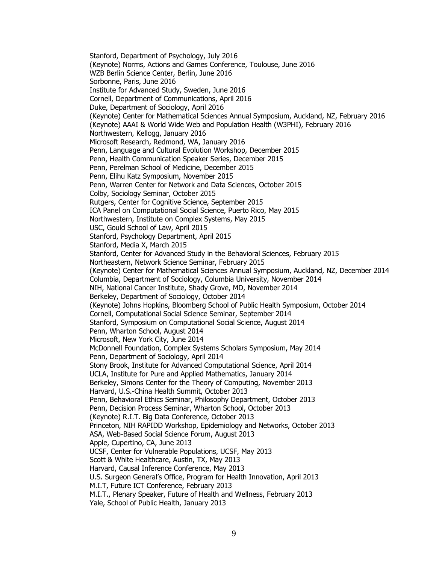Stanford, Department of Psychology, July 2016 (Keynote) Norms, Actions and Games Conference, Toulouse, June 2016 WZB Berlin Science Center, Berlin, June 2016 Sorbonne, Paris, June 2016 Institute for Advanced Study, Sweden, June 2016 Cornell, Department of Communications, April 2016 Duke, Department of Sociology, April 2016 (Keynote) Center for Mathematical Sciences Annual Symposium, Auckland, NZ, February 2016 (Keynote) AAAI & World Wide Web and Population Health (W3PHI), February 2016 Northwestern, Kellogg, January 2016 Microsoft Research, Redmond, WA, January 2016 Penn, Language and Cultural Evolution Workshop, December 2015 Penn, Health Communication Speaker Series, December 2015 Penn, Perelman School of Medicine, December 2015 Penn, Elihu Katz Symposium, November 2015 Penn, Warren Center for Network and Data Sciences, October 2015 Colby, Sociology Seminar, October 2015 Rutgers, Center for Cognitive Science, September 2015 ICA Panel on Computational Social Science, Puerto Rico, May 2015 Northwestern, Institute on Complex Systems, May 2015 USC, Gould School of Law, April 2015 Stanford, Psychology Department, April 2015 Stanford, Media X, March 2015 Stanford, Center for Advanced Study in the Behavioral Sciences, February 2015 Northeastern, Network Science Seminar, February 2015 (Keynote) Center for Mathematical Sciences Annual Symposium, Auckland, NZ, December 2014 Columbia, Department of Sociology, Columbia University, November 2014 NIH, National Cancer Institute, Shady Grove, MD, November 2014 Berkeley, Department of Sociology, October 2014 (Keynote) Johns Hopkins, Bloomberg School of Public Health Symposium, October 2014 Cornell, Computational Social Science Seminar, September 2014 Stanford, Symposium on Computational Social Science, August 2014 Penn, Wharton School, August 2014 Microsoft, New York City, June 2014 McDonnell Foundation, Complex Systems Scholars Symposium, May 2014 Penn, Department of Sociology, April 2014 Stony Brook, Institute for Advanced Computational Science, April 2014 UCLA, Institute for Pure and Applied Mathematics, January 2014 Berkeley, Simons Center for the Theory of Computing, November 2013 Harvard, U.S.-China Health Summit, October 2013 Penn, Behavioral Ethics Seminar, Philosophy Department, October 2013 Penn, Decision Process Seminar, Wharton School, October 2013 (Keynote) R.I.T. Big Data Conference, October 2013 Princeton, NIH RAPIDD Workshop, Epidemiology and Networks, October 2013 ASA, Web-Based Social Science Forum, August 2013 Apple, Cupertino, CA, June 2013 UCSF, Center for Vulnerable Populations, UCSF, May 2013 Scott & White Healthcare, Austin, TX, May 2013 Harvard, Causal Inference Conference, May 2013 U.S. Surgeon General's Office, Program for Health Innovation, April 2013 M.I.T, Future ICT Conference, February 2013 M.I.T., Plenary Speaker, Future of Health and Wellness, February 2013 Yale, School of Public Health, January 2013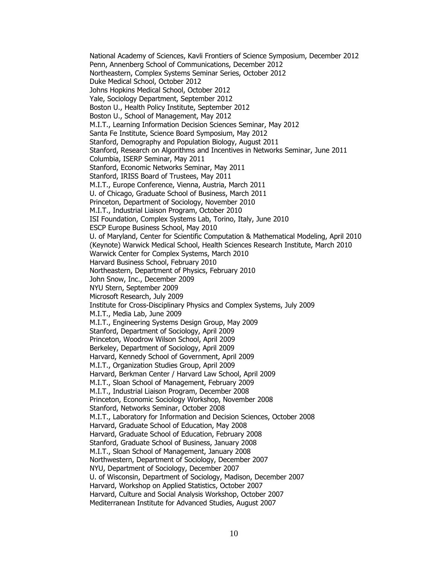National Academy of Sciences, Kavli Frontiers of Science Symposium, December 2012 Penn, Annenberg School of Communications, December 2012 Northeastern, Complex Systems Seminar Series, October 2012 Duke Medical School, October 2012 Johns Hopkins Medical School, October 2012 Yale, Sociology Department, September 2012 Boston U., Health Policy Institute, September 2012 Boston U., School of Management, May 2012 M.I.T., Learning Information Decision Sciences Seminar, May 2012 Santa Fe Institute, Science Board Symposium, May 2012 Stanford, Demography and Population Biology, August 2011 Stanford, Research on Algorithms and Incentives in Networks Seminar, June 2011 Columbia, ISERP Seminar, May 2011 Stanford, Economic Networks Seminar, May 2011 Stanford, IRISS Board of Trustees, May 2011 M.I.T., Europe Conference, Vienna, Austria, March 2011 U. of Chicago, Graduate School of Business, March 2011 Princeton, Department of Sociology, November 2010 M.I.T., Industrial Liaison Program, October 2010 ISI Foundation, Complex Systems Lab, Torino, Italy, June 2010 ESCP Europe Business School, May 2010 U. of Maryland, Center for Scientific Computation & Mathematical Modeling, April 2010 (Keynote) Warwick Medical School, Health Sciences Research Institute, March 2010 Warwick Center for Complex Systems, March 2010 Harvard Business School, February 2010 Northeastern, Department of Physics, February 2010 John Snow, Inc., December 2009 NYU Stern, September 2009 Microsoft Research, July 2009 Institute for Cross-Disciplinary Physics and Complex Systems, July 2009 M.I.T., Media Lab, June 2009 M.I.T., Engineering Systems Design Group, May 2009 Stanford, Department of Sociology, April 2009 Princeton, Woodrow Wilson School, April 2009 Berkeley, Department of Sociology, April 2009 Harvard, Kennedy School of Government, April 2009 M.I.T., Organization Studies Group, April 2009 Harvard, Berkman Center / Harvard Law School, April 2009 M.I.T., Sloan School of Management, February 2009 M.I.T., Industrial Liaison Program, December 2008 Princeton, Economic Sociology Workshop, November 2008 Stanford, Networks Seminar, October 2008 M.I.T., Laboratory for Information and Decision Sciences, October 2008 Harvard, Graduate School of Education, May 2008 Harvard, Graduate School of Education, February 2008 Stanford, Graduate School of Business, January 2008 M.I.T., Sloan School of Management, January 2008 Northwestern, Department of Sociology, December 2007 NYU, Department of Sociology, December 2007 U. of Wisconsin, Department of Sociology, Madison, December 2007 Harvard, Workshop on Applied Statistics, October 2007 Harvard, Culture and Social Analysis Workshop, October 2007 Mediterranean Institute for Advanced Studies, August 2007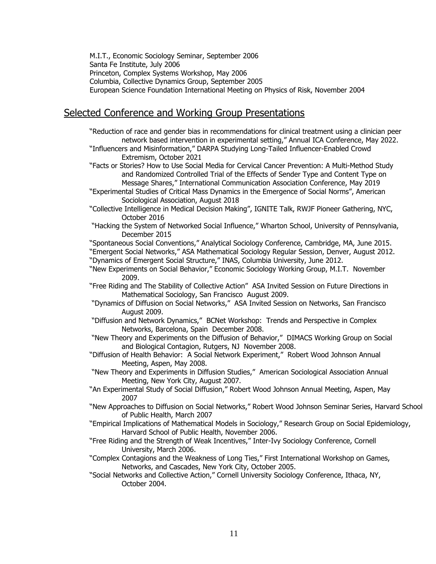M.I.T., Economic Sociology Seminar, September 2006 Santa Fe Institute, July 2006 Princeton, Complex Systems Workshop, May 2006 Columbia, Collective Dynamics Group, September 2005 European Science Foundation International Meeting on Physics of Risk, November 2004

### Selected Conference and Working Group Presentations

"Reduction of race and gender bias in recommendations for clinical treatment using a clinician peer network based intervention in experimental setting," Annual ICA Conference, May 2022. "Influencers and Misinformation," DARPA Studying Long-Tailed Influencer-Enabled Crowd Extremism, October 2021 "Facts or Stories? How to Use Social Media for Cervical Cancer Prevention: A Multi-Method Study and Randomized Controlled Trial of the Effects of Sender Type and Content Type on Message Shares," International Communication Association Conference, May 2019 "Experimental Studies of Critical Mass Dynamics in the Emergence of Social Norms", American Sociological Association, August 2018 "Collective Intelligence in Medical Decision Making", IGNITE Talk, RWJF Pioneer Gathering, NYC, October 2016

"Hacking the System of Networked Social Influence," Wharton School, University of Pennsylvania, December 2015

"Spontaneous Social Conventions," Analytical Sociology Conference, Cambridge, MA, June 2015. "Emergent Social Networks," ASA Mathematical Sociology Regular Session, Denver, August 2012. "Dynamics of Emergent Social Structure," INAS, Columbia University, June 2012.

"New Experiments on Social Behavior," Economic Sociology Working Group, M.I.T. November 2009.

"Free Riding and The Stability of Collective Action" ASA Invited Session on Future Directions in Mathematical Sociology, San Francisco August 2009.

- "Dynamics of Diffusion on Social Networks," ASA Invited Session on Networks, San Francisco August 2009.
- "Diffusion and Network Dynamics," BCNet Workshop: Trends and Perspective in Complex Networks, Barcelona, Spain December 2008.
- "New Theory and Experiments on the Diffusion of Behavior," DIMACS Working Group on Social and Biological Contagion, Rutgers, NJ November 2008.
- "Diffusion of Health Behavior: A Social Network Experiment," Robert Wood Johnson Annual Meeting, Aspen, May 2008.

"New Theory and Experiments in Diffusion Studies," American Sociological Association Annual Meeting, New York City, August 2007.

- "An Experimental Study of Social Diffusion," Robert Wood Johnson Annual Meeting, Aspen, May 2007
- "New Approaches to Diffusion on Social Networks," Robert Wood Johnson Seminar Series, Harvard School of Public Health, March 2007
- "Empirical Implications of Mathematical Models in Sociology," Research Group on Social Epidemiology, Harvard School of Public Health, November 2006.
- "Free Riding and the Strength of Weak Incentives," Inter-Ivy Sociology Conference, Cornell University, March 2006.
- "Complex Contagions and the Weakness of Long Ties," First International Workshop on Games, Networks, and Cascades, New York City, October 2005.
- "Social Networks and Collective Action," Cornell University Sociology Conference, Ithaca, NY, October 2004.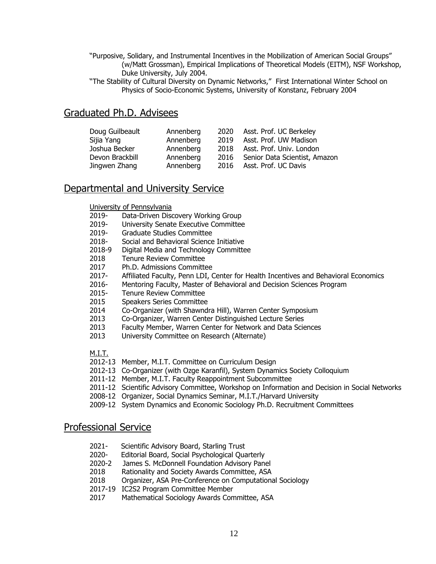- "Purposive, Solidary, and Instrumental Incentives in the Mobilization of American Social Groups" (w/Matt Grossman), Empirical Implications of Theoretical Models (EITM), NSF Workshop, Duke University, July 2004.
- "The Stability of Cultural Diversity on Dynamic Networks," First International Winter School on Physics of Socio-Economic Systems, University of Konstanz, February 2004

### Graduated Ph.D. Advisees

| Doug Guilbeault | Annenberg |      | 2020 Asst. Prof. UC Berkeley       |
|-----------------|-----------|------|------------------------------------|
| Sijia Yang      | Annenberg | 2019 | Asst. Prof. UW Madison             |
| Joshua Becker   | Annenberg |      | 2018 Asst. Prof. Univ. London      |
| Devon Brackbill | Annenberg |      | 2016 Senior Data Scientist, Amazon |
| Jingwen Zhang   | Annenberg |      | 2016 Asst. Prof. UC Davis          |

### Departmental and University Service

University of Pennsylvania

- 2019- Data-Driven Discovery Working Group
- 2019- University Senate Executive Committee
- 2019- Graduate Studies Committee
- 2018- Social and Behavioral Science Initiative
- 2018-9 Digital Media and Technology Committee
- 2018 Tenure Review Committee
- 2017 Ph.D. Admissions Committee
- 2017- Affiliated Faculty, Penn LDI, Center for Health Incentives and Behavioral Economics
- 2016- Mentoring Faculty, Master of Behavioral and Decision Sciences Program
- 2015- Tenure Review Committee
- 2015 Speakers Series Committee
- 2014 Co-Organizer (with Shawndra Hill), Warren Center Symposium
- 2013 Co-Organizer, Warren Center Distinguished Lecture Series
- 2013 Faculty Member, Warren Center for Network and Data Sciences
- 2013 University Committee on Research (Alternate)

M.I.T.

- 2012-13 Member, M.I.T. Committee on Curriculum Design
- 2012-13 Co-Organizer (with Ozge Karanfil), System Dynamics Society Colloquium
- 2011-12 Member, M.I.T. Faculty Reappointment Subcommittee
- 2011-12 Scientific Advisory Committee, Workshop on Information and Decision in Social Networks
- 2008-12 Organizer, Social Dynamics Seminar, M.I.T./Harvard University
- 2009-12 System Dynamics and Economic Sociology Ph.D. Recruitment Committees

### Professional Service

- 2021- Scientific Advisory Board, Starling Trust
- 2020- Editorial Board, Social Psychological Quarterly
- 2020-2 James S. McDonnell Foundation Advisory Panel
- 2018 Rationality and Society Awards Committee, ASA
- 2018 Organizer, ASA Pre-Conference on Computational Sociology
- 2017-19 IC2S2 Program Committee Member
- 2017 Mathematical Sociology Awards Committee, ASA